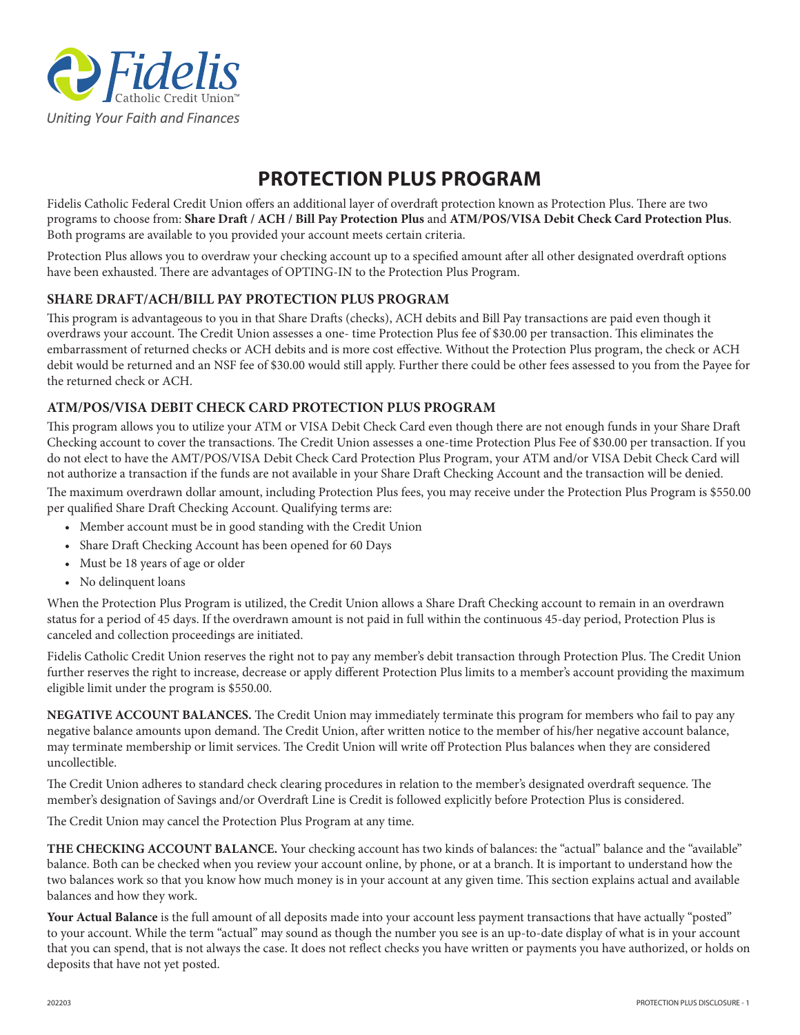

## **PROTECTION PLUS PROGRAM**

Fidelis Catholic Federal Credit Union offers an additional layer of overdraft protection known as Protection Plus. There are two programs to choose from: **Share Draft / ACH / Bill Pay Protection Plus** and **ATM/POS/VISA Debit Check Card Protection Plus**. Both programs are available to you provided your account meets certain criteria.

Protection Plus allows you to overdraw your checking account up to a specified amount after all other designated overdraft options have been exhausted. There are advantages of OPTING-IN to the Protection Plus Program.

## **SHARE DRAFT/ACH/BILL PAY PROTECTION PLUS PROGRAM**

This program is advantageous to you in that Share Drafts (checks), ACH debits and Bill Pay transactions are paid even though it overdraws your account. The Credit Union assesses a one- time Protection Plus fee of \$30.00 per transaction. This eliminates the embarrassment of returned checks or ACH debits and is more cost effective. Without the Protection Plus program, the check or ACH debit would be returned and an NSF fee of \$30.00 would still apply. Further there could be other fees assessed to you from the Payee for the returned check or ACH.

## **ATM/POS/VISA DEBIT CHECK CARD PROTECTION PLUS PROGRAM**

This program allows you to utilize your ATM or VISA Debit Check Card even though there are not enough funds in your Share Draft Checking account to cover the transactions. The Credit Union assesses a one-time Protection Plus Fee of \$30.00 per transaction. If you do not elect to have the AMT/POS/VISA Debit Check Card Protection Plus Program, your ATM and/or VISA Debit Check Card will not authorize a transaction if the funds are not available in your Share Draft Checking Account and the transaction will be denied.

The maximum overdrawn dollar amount, including Protection Plus fees, you may receive under the Protection Plus Program is \$550.00 per qualified Share Draft Checking Account. Qualifying terms are:

- Member account must be in good standing with the Credit Union
- Share Draft Checking Account has been opened for 60 Days
- Must be 18 years of age or older
- No delinquent loans

When the Protection Plus Program is utilized, the Credit Union allows a Share Draft Checking account to remain in an overdrawn status for a period of 45 days. If the overdrawn amount is not paid in full within the continuous 45-day period, Protection Plus is canceled and collection proceedings are initiated.

Fidelis Catholic Credit Union reserves the right not to pay any member's debit transaction through Protection Plus. The Credit Union further reserves the right to increase, decrease or apply different Protection Plus limits to a member's account providing the maximum eligible limit under the program is \$550.00.

**NEGATIVE ACCOUNT BALANCES.** The Credit Union may immediately terminate this program for members who fail to pay any negative balance amounts upon demand. The Credit Union, after written notice to the member of his/her negative account balance, may terminate membership or limit services. The Credit Union will write off Protection Plus balances when they are considered uncollectible.

The Credit Union adheres to standard check clearing procedures in relation to the member's designated overdraft sequence. The member's designation of Savings and/or Overdraft Line is Credit is followed explicitly before Protection Plus is considered.

The Credit Union may cancel the Protection Plus Program at any time.

**THE CHECKING ACCOUNT BALANCE.** Your checking account has two kinds of balances: the "actual" balance and the "available" balance. Both can be checked when you review your account online, by phone, or at a branch. It is important to understand how the two balances work so that you know how much money is in your account at any given time. This section explains actual and available balances and how they work.

**Your Actual Balance** is the full amount of all deposits made into your account less payment transactions that have actually "posted" to your account. While the term "actual" may sound as though the number you see is an up-to-date display of what is in your account that you can spend, that is not always the case. It does not reflect checks you have written or payments you have authorized, or holds on deposits that have not yet posted.